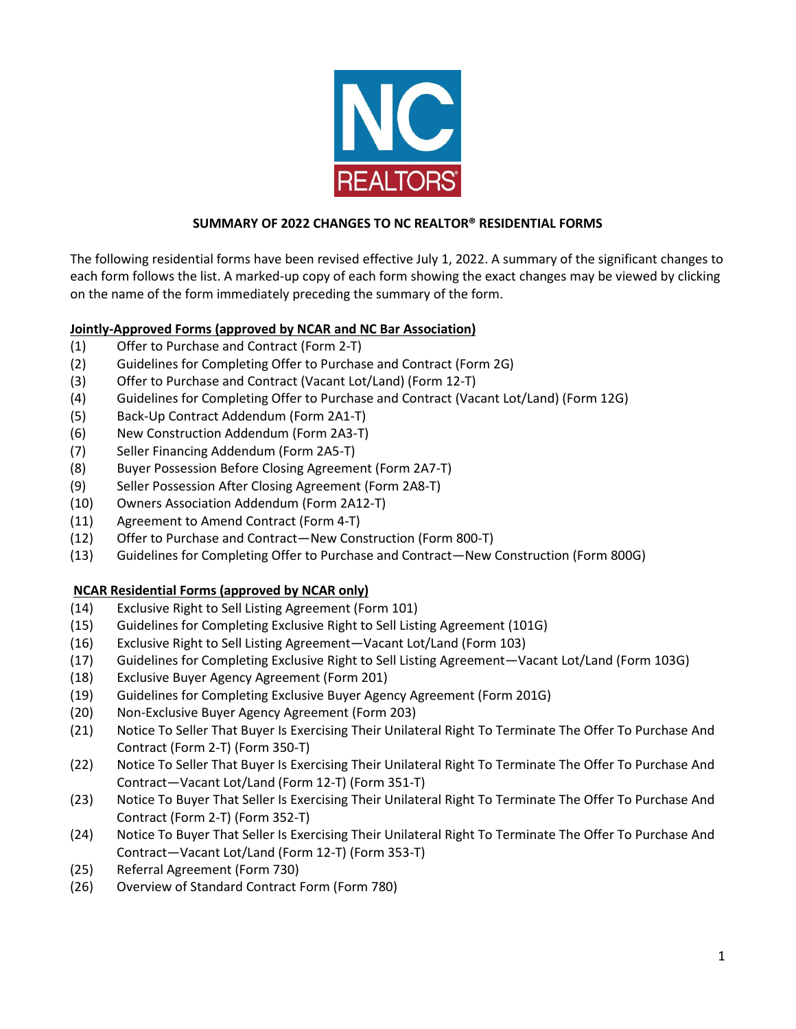

#### **SUMMARY OF 2022 CHANGES TO NC REALTOR® RESIDENTIAL FORMS**

The following residential forms have been revised effective July 1, 2022. A summary of the significant changes to each form follows the list. A marked-up copy of each form showing the exact changes may be viewed by clicking on the name of the form immediately preceding the summary of the form.

#### **Jointly-Approved Forms (approved by NCAR and NC Bar Association)**

- (1) Offer to Purchase and Contract (Form 2-T)
- (2) Guidelines for Completing Offer to Purchase and Contract (Form 2G)
- (3) Offer to Purchase and Contract (Vacant Lot/Land) (Form 12-T)
- (4) Guidelines for Completing Offer to Purchase and Contract (Vacant Lot/Land) (Form 12G)
- (5) Back-Up Contract Addendum (Form 2A1-T)
- (6) New Construction Addendum (Form 2A3-T)
- (7) Seller Financing Addendum (Form 2A5-T)
- (8) Buyer Possession Before Closing Agreement (Form 2A7-T)
- (9) Seller Possession After Closing Agreement (Form 2A8-T)
- (10) Owners Association Addendum (Form 2A12-T)
- (11) Agreement to Amend Contract (Form 4-T)
- (12) Offer to Purchase and Contract—New Construction (Form 800-T)
- (13) Guidelines for Completing Offer to Purchase and Contract—New Construction (Form 800G)

#### **NCAR Residential Forms (approved by NCAR only)**

- (14) Exclusive Right to Sell Listing Agreement (Form 101)
- (15) Guidelines for Completing Exclusive Right to Sell Listing Agreement (101G)
- (16) Exclusive Right to Sell Listing Agreement—Vacant Lot/Land (Form 103)
- (17) Guidelines for Completing Exclusive Right to Sell Listing Agreement—Vacant Lot/Land (Form 103G)
- (18) Exclusive Buyer Agency Agreement (Form 201)
- (19) Guidelines for Completing Exclusive Buyer Agency Agreement (Form 201G)
- (20) Non-Exclusive Buyer Agency Agreement (Form 203)
- (21) Notice To Seller That Buyer Is Exercising Their Unilateral Right To Terminate The Offer To Purchase And Contract (Form 2-T) (Form 350-T)
- (22) Notice To Seller That Buyer Is Exercising Their Unilateral Right To Terminate The Offer To Purchase And Contract—Vacant Lot/Land (Form 12-T) (Form 351-T)
- (23) Notice To Buyer That Seller Is Exercising Their Unilateral Right To Terminate The Offer To Purchase And Contract (Form 2-T) (Form 352-T)
- (24) Notice To Buyer That Seller Is Exercising Their Unilateral Right To Terminate The Offer To Purchase And Contract—Vacant Lot/Land (Form 12-T) (Form 353-T)
- (25) Referral Agreement (Form 730)
- (26) Overview of Standard Contract Form (Form 780)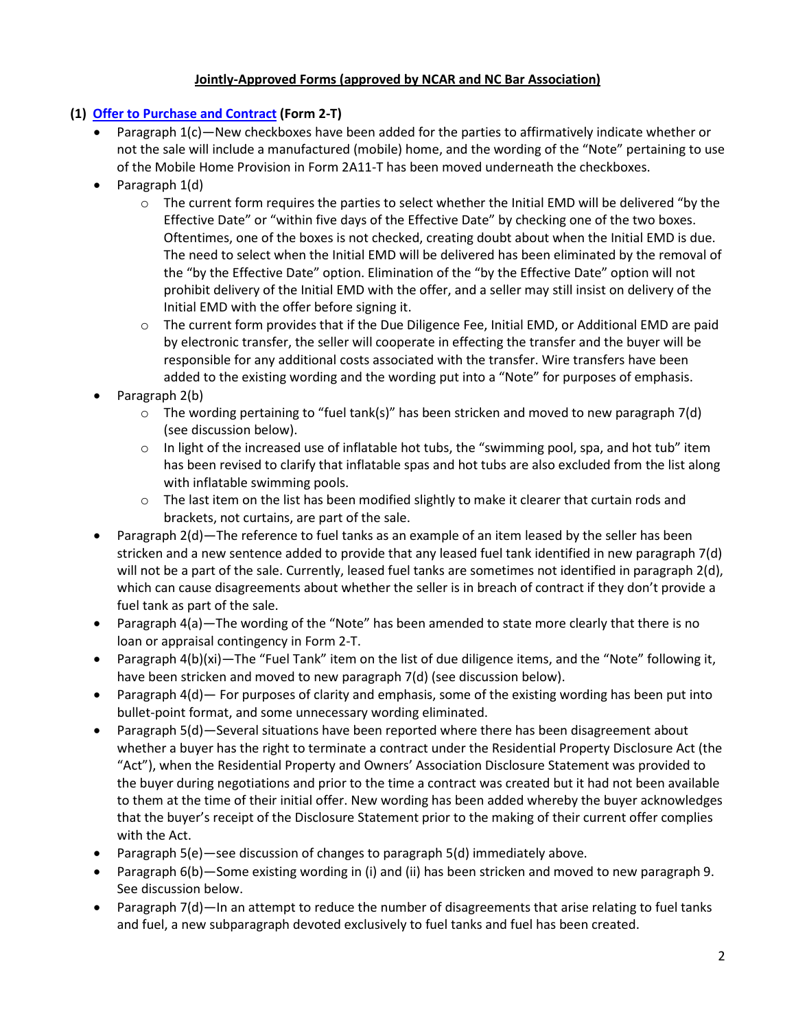# **Jointly-Approved Forms (approved by NCAR and NC Bar Association)**

# **(1) [Offer to Purchase and Contract](https://www.ncrealtors.org/wp-content/uploads/markedup0722-2-T.pdf) (Form 2-T)**

- Paragraph 1(c)—New checkboxes have been added for the parties to affirmatively indicate whether or not the sale will include a manufactured (mobile) home, and the wording of the "Note" pertaining to use of the Mobile Home Provision in Form 2A11-T has been moved underneath the checkboxes.
- Paragraph 1(d)
	- $\circ$  The current form requires the parties to select whether the Initial EMD will be delivered "by the Effective Date" or "within five days of the Effective Date" by checking one of the two boxes. Oftentimes, one of the boxes is not checked, creating doubt about when the Initial EMD is due. The need to select when the Initial EMD will be delivered has been eliminated by the removal of the "by the Effective Date" option. Elimination of the "by the Effective Date" option will not prohibit delivery of the Initial EMD with the offer, and a seller may still insist on delivery of the Initial EMD with the offer before signing it.
	- $\circ$  The current form provides that if the Due Diligence Fee, Initial EMD, or Additional EMD are paid by electronic transfer, the seller will cooperate in effecting the transfer and the buyer will be responsible for any additional costs associated with the transfer. Wire transfers have been added to the existing wording and the wording put into a "Note" for purposes of emphasis.
- Paragraph 2(b)
	- $\circ$  The wording pertaining to "fuel tank(s)" has been stricken and moved to new paragraph 7(d) (see discussion below).
	- $\circ$  In light of the increased use of inflatable hot tubs, the "swimming pool, spa, and hot tub" item has been revised to clarify that inflatable spas and hot tubs are also excluded from the list along with inflatable swimming pools.
	- $\circ$  The last item on the list has been modified slightly to make it clearer that curtain rods and brackets, not curtains, are part of the sale.
- Paragraph 2(d)—The reference to fuel tanks as an example of an item leased by the seller has been stricken and a new sentence added to provide that any leased fuel tank identified in new paragraph 7(d) will not be a part of the sale. Currently, leased fuel tanks are sometimes not identified in paragraph 2(d), which can cause disagreements about whether the seller is in breach of contract if they don't provide a fuel tank as part of the sale.
- Paragraph 4(a)—The wording of the "Note" has been amended to state more clearly that there is no loan or appraisal contingency in Form 2-T.
- Paragraph 4(b)(xi)—The "Fuel Tank" item on the list of due diligence items, and the "Note" following it, have been stricken and moved to new paragraph 7(d) (see discussion below).
- Paragraph 4(d)— For purposes of clarity and emphasis, some of the existing wording has been put into bullet-point format, and some unnecessary wording eliminated.
- Paragraph 5(d)—Several situations have been reported where there has been disagreement about whether a buyer has the right to terminate a contract under the Residential Property Disclosure Act (the "Act"), when the Residential Property and Owners' Association Disclosure Statement was provided to the buyer during negotiations and prior to the time a contract was created but it had not been available to them at the time of their initial offer. New wording has been added whereby the buyer acknowledges that the buyer's receipt of the Disclosure Statement prior to the making of their current offer complies with the Act.
- Paragraph 5(e)—see discussion of changes to paragraph 5(d) immediately above.
- Paragraph 6(b)—Some existing wording in (i) and (ii) has been stricken and moved to new paragraph 9. See discussion below.
- Paragraph 7(d)—In an attempt to reduce the number of disagreements that arise relating to fuel tanks and fuel, a new subparagraph devoted exclusively to fuel tanks and fuel has been created.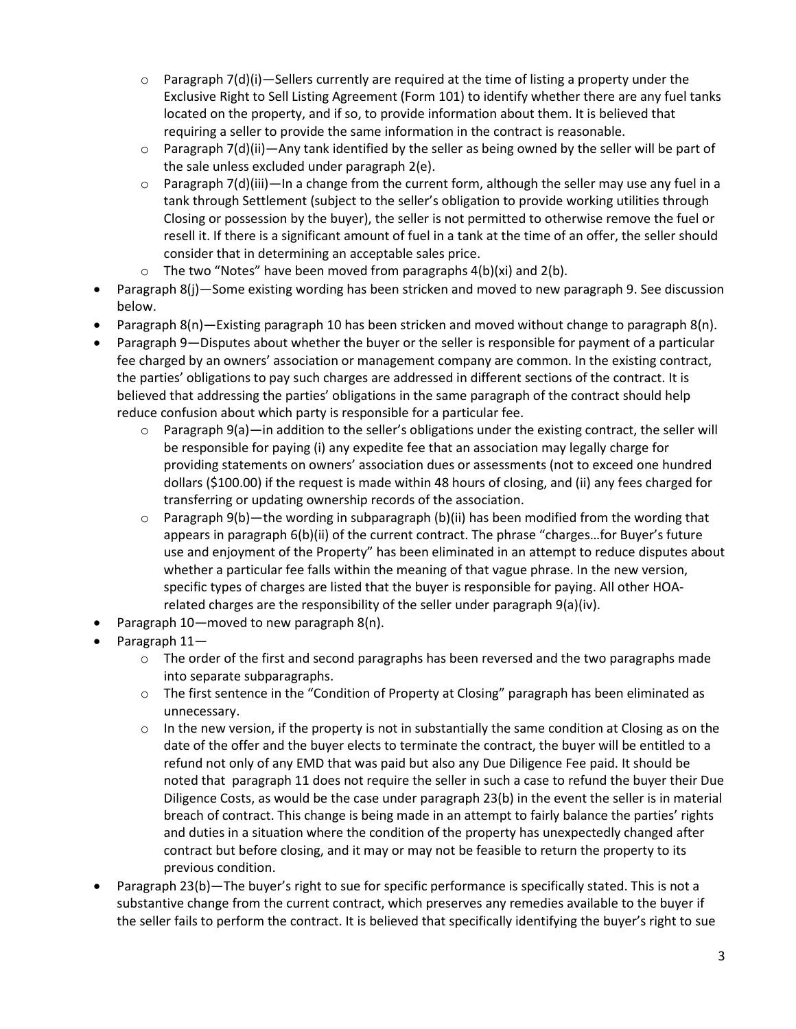- $\circ$  Paragraph 7(d)(i)—Sellers currently are required at the time of listing a property under the Exclusive Right to Sell Listing Agreement (Form 101) to identify whether there are any fuel tanks located on the property, and if so, to provide information about them. It is believed that requiring a seller to provide the same information in the contract is reasonable.
- $\circ$  Paragraph 7(d)(ii)—Any tank identified by the seller as being owned by the seller will be part of the sale unless excluded under paragraph 2(e).
- $\circ$  Paragraph 7(d)(iii)—In a change from the current form, although the seller may use any fuel in a tank through Settlement (subject to the seller's obligation to provide working utilities through Closing or possession by the buyer), the seller is not permitted to otherwise remove the fuel or resell it. If there is a significant amount of fuel in a tank at the time of an offer, the seller should consider that in determining an acceptable sales price.
- $\circ$  The two "Notes" have been moved from paragraphs 4(b)(xi) and 2(b).
- Paragraph 8(j)—Some existing wording has been stricken and moved to new paragraph 9. See discussion below.
- Paragraph 8(n)—Existing paragraph 10 has been stricken and moved without change to paragraph 8(n).
- Paragraph 9—Disputes about whether the buyer or the seller is responsible for payment of a particular fee charged by an owners' association or management company are common. In the existing contract, the parties' obligations to pay such charges are addressed in different sections of the contract. It is believed that addressing the parties' obligations in the same paragraph of the contract should help reduce confusion about which party is responsible for a particular fee.
	- $\circ$  Paragraph 9(a)—in addition to the seller's obligations under the existing contract, the seller will be responsible for paying (i) any expedite fee that an association may legally charge for providing statements on owners' association dues or assessments (not to exceed one hundred dollars (\$100.00) if the request is made within 48 hours of closing, and (ii) any fees charged for transferring or updating ownership records of the association.
	- $\circ$  Paragraph 9(b)—the wording in subparagraph (b)(ii) has been modified from the wording that appears in paragraph 6(b)(ii) of the current contract. The phrase "charges…for Buyer's future use and enjoyment of the Property" has been eliminated in an attempt to reduce disputes about whether a particular fee falls within the meaning of that vague phrase. In the new version, specific types of charges are listed that the buyer is responsible for paying. All other HOArelated charges are the responsibility of the seller under paragraph 9(a)(iv).
- Paragraph 10—moved to new paragraph 8(n).
- Paragraph 11-
	- $\circ$  The order of the first and second paragraphs has been reversed and the two paragraphs made into separate subparagraphs.
	- $\circ$  The first sentence in the "Condition of Property at Closing" paragraph has been eliminated as unnecessary.
	- $\circ$  In the new version, if the property is not in substantially the same condition at Closing as on the date of the offer and the buyer elects to terminate the contract, the buyer will be entitled to a refund not only of any EMD that was paid but also any Due Diligence Fee paid. It should be noted that paragraph 11 does not require the seller in such a case to refund the buyer their Due Diligence Costs, as would be the case under paragraph 23(b) in the event the seller is in material breach of contract. This change is being made in an attempt to fairly balance the parties' rights and duties in a situation where the condition of the property has unexpectedly changed after contract but before closing, and it may or may not be feasible to return the property to its previous condition.
- Paragraph 23(b)—The buyer's right to sue for specific performance is specifically stated. This is not a substantive change from the current contract, which preserves any remedies available to the buyer if the seller fails to perform the contract. It is believed that specifically identifying the buyer's right to sue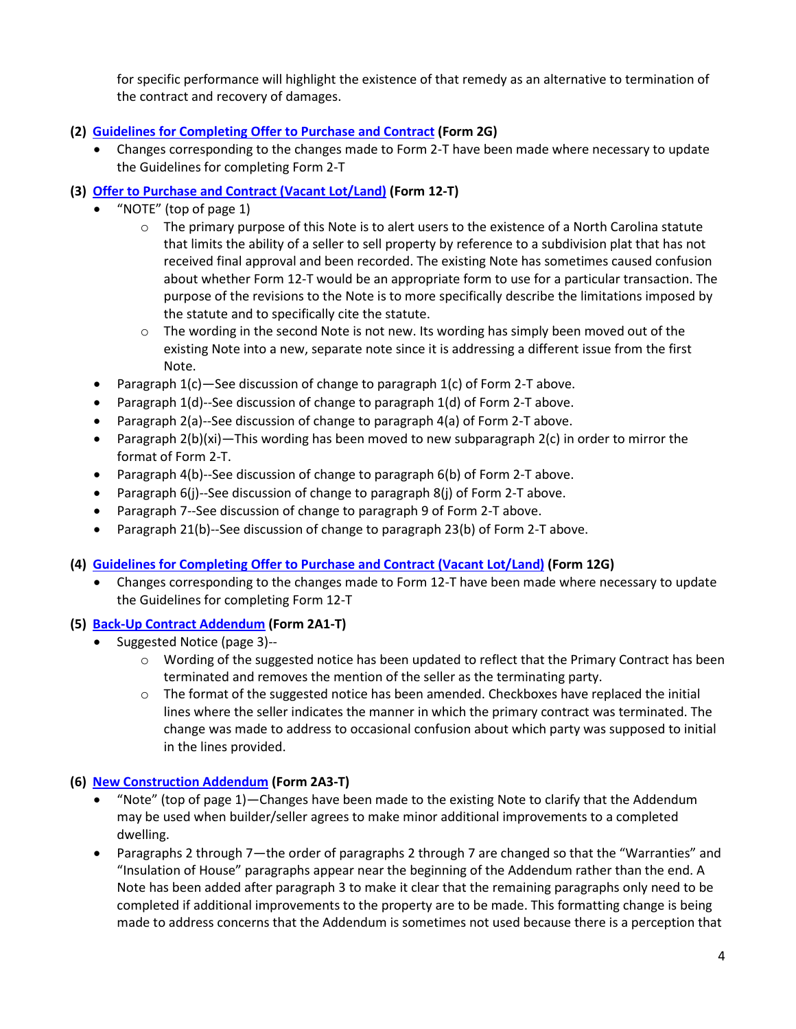for specific performance will highlight the existence of that remedy as an alternative to termination of the contract and recovery of damages.

## **(2) [Guidelines for Completing Offer to Purchase and Contract](https://www.ncrealtors.org/wp-content/uploads/markedup0722-2G.pdf) (Form 2G)**

• Changes corresponding to the changes made to Form 2-T have been made where necessary to update the Guidelines for completing Form 2-T

### **(3) [Offer to Purchase and Contract \(Vacant Lot/Land\)](https://www.ncrealtors.org/wp-content/uploads/markedup0722-12-T.pdf) (Form 12-T)**

- "NOTE" (top of page 1)
	- $\circ$  The primary purpose of this Note is to alert users to the existence of a North Carolina statute that limits the ability of a seller to sell property by reference to a subdivision plat that has not received final approval and been recorded. The existing Note has sometimes caused confusion about whether Form 12-T would be an appropriate form to use for a particular transaction. The purpose of the revisions to the Note is to more specifically describe the limitations imposed by the statute and to specifically cite the statute.
	- $\circ$  The wording in the second Note is not new. Its wording has simply been moved out of the existing Note into a new, separate note since it is addressing a different issue from the first Note.
- Paragraph 1(c)—See discussion of change to paragraph 1(c) of Form 2-T above.
- Paragraph 1(d)--See discussion of change to paragraph 1(d) of Form 2-T above.
- Paragraph 2(a)--See discussion of change to paragraph 4(a) of Form 2-T above.
- Paragraph  $2(b)(xi)$ —This wording has been moved to new subparagraph  $2(c)$  in order to mirror the format of Form 2-T.
- Paragraph 4(b)--See discussion of change to paragraph 6(b) of Form 2-T above.
- Paragraph 6(j)--See discussion of change to paragraph 8(j) of Form 2-T above.
- Paragraph 7--See discussion of change to paragraph 9 of Form 2-T above.
- Paragraph 21(b)--See discussion of change to paragraph 23(b) of Form 2-T above.

**(4) [Guidelines for Completing Offer to Purchase and Contract \(Vacant Lot/Land\)](https://www.ncrealtors.org/wp-content/uploads/markedup0722-12G.pdf) (Form 12G)**

• Changes corresponding to the changes made to Form 12-T have been made where necessary to update the Guidelines for completing Form 12-T

### **(5) [Back-Up Contract Addendum](https://www.ncrealtors.org/wp-content/uploads/markedup0722-2A1-T.pdf) (Form 2A1-T)**

- Suggested Notice (page 3)--
	- $\circ$  Wording of the suggested notice has been updated to reflect that the Primary Contract has been terminated and removes the mention of the seller as the terminating party.
	- $\circ$  The format of the suggested notice has been amended. Checkboxes have replaced the initial lines where the seller indicates the manner in which the primary contract was terminated. The change was made to address to occasional confusion about which party was supposed to initial in the lines provided.

### **(6) [New Construction Addendum](https://www.ncrealtors.org/wp-content/uploads/markedup0722-2A3-T.pdf) (Form 2A3-T)**

- "Note" (top of page 1)—Changes have been made to the existing Note to clarify that the Addendum may be used when builder/seller agrees to make minor additional improvements to a completed dwelling.
- Paragraphs 2 through 7—the order of paragraphs 2 through 7 are changed so that the "Warranties" and "Insulation of House" paragraphs appear near the beginning of the Addendum rather than the end. A Note has been added after paragraph 3 to make it clear that the remaining paragraphs only need to be completed if additional improvements to the property are to be made. This formatting change is being made to address concerns that the Addendum is sometimes not used because there is a perception that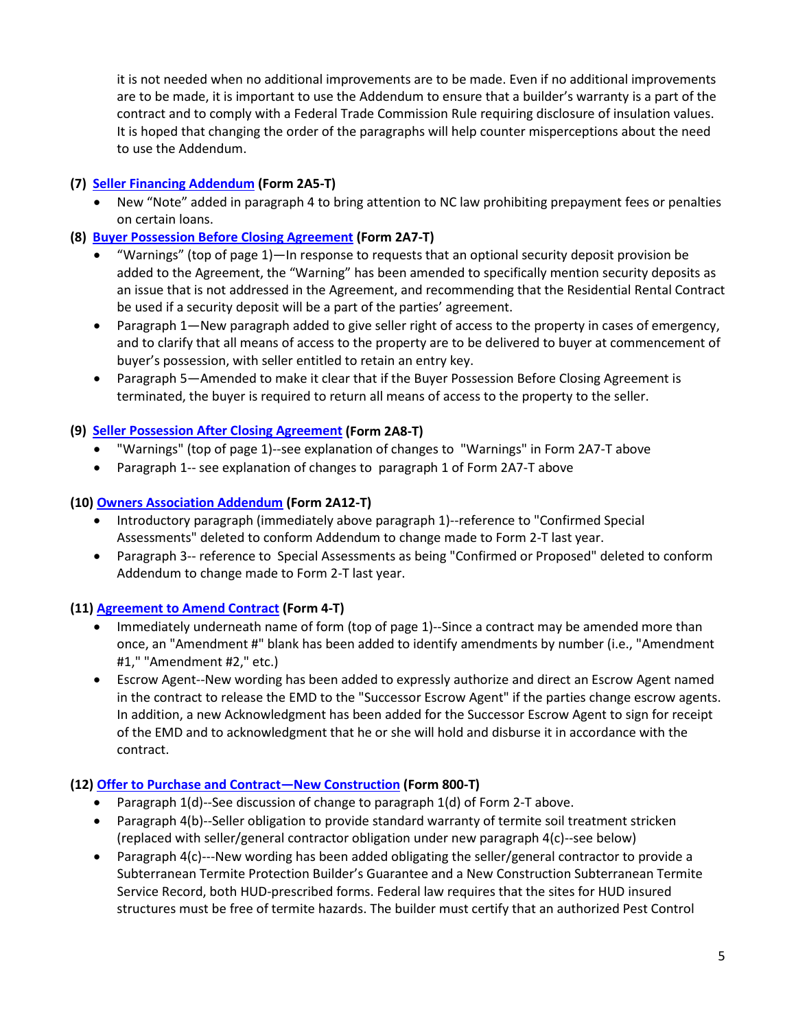it is not needed when no additional improvements are to be made. Even if no additional improvements are to be made, it is important to use the Addendum to ensure that a builder's warranty is a part of the contract and to comply with a Federal Trade Commission Rule requiring disclosure of insulation values. It is hoped that changing the order of the paragraphs will help counter misperceptions about the need to use the Addendum.

### **(7) [Seller Financing Addendum](https://www.ncrealtors.org/wp-content/uploads/markedup0722-2A5-T.pdf) (Form 2A5-T)**

- New "Note" added in paragraph 4 to bring attention to NC law prohibiting prepayment fees or penalties on certain loans.
- **(8) [Buyer Possession Before Closing Agreement](https://www.ncrealtors.org/wp-content/uploads/markedup0722-2A7-T.pdf) (Form 2A7-T)**
	- "Warnings" (top of page 1)—In response to requests that an optional security deposit provision be added to the Agreement, the "Warning" has been amended to specifically mention security deposits as an issue that is not addressed in the Agreement, and recommending that the Residential Rental Contract be used if a security deposit will be a part of the parties' agreement.
	- Paragraph 1—New paragraph added to give seller right of access to the property in cases of emergency, and to clarify that all means of access to the property are to be delivered to buyer at commencement of buyer's possession, with seller entitled to retain an entry key.
	- Paragraph 5—Amended to make it clear that if the Buyer Possession Before Closing Agreement is terminated, the buyer is required to return all means of access to the property to the seller.

## **(9) [Seller Possession After Closing Agreement](https://www.ncrealtors.org/wp-content/uploads/markedup0722-2A8-T.pdf) (Form 2A8-T)**

- "Warnings" (top of page 1)--see explanation of changes to "Warnings" in Form 2A7-T above
- Paragraph 1-- see explanation of changes to paragraph 1 of Form 2A7-T above

### **(10[\) Owners Association Addendum](https://www.ncrealtors.org/wp-content/uploads/markedup0722-2A12-T.pdf) (Form 2A12-T)**

- Introductory paragraph (immediately above paragraph 1)--reference to "Confirmed Special Assessments" deleted to conform Addendum to change made to Form 2-T last year.
- Paragraph 3-- reference to Special Assessments as being "Confirmed or Proposed" deleted to conform Addendum to change made to Form 2-T last year.

# **(11) [Agreement to Amend Contract](https://www.ncrealtors.org/wp-content/uploads/markedup0722-4-T.pdf) (Form 4-T)**

- Immediately underneath name of form (top of page 1)--Since a contract may be amended more than once, an "Amendment #" blank has been added to identify amendments by number (i.e., "Amendment #1," "Amendment #2," etc.)
- Escrow Agent--New wording has been added to expressly authorize and direct an Escrow Agent named in the contract to release the EMD to the "Successor Escrow Agent" if the parties change escrow agents. In addition, a new Acknowledgment has been added for the Successor Escrow Agent to sign for receipt of the EMD and to acknowledgment that he or she will hold and disburse it in accordance with the contract.

### **(12[\) Offer to Purchase and Contract—New Construction](https://www.ncrealtors.org/wp-content/uploads/markedup0722-800-T.pdf) (Form 800-T)**

- Paragraph 1(d)--See discussion of change to paragraph 1(d) of Form 2-T above.
- Paragraph 4(b)--Seller obligation to provide standard warranty of termite soil treatment stricken (replaced with seller/general contractor obligation under new paragraph 4(c)--see below)
- Paragraph 4(c)---New wording has been added obligating the seller/general contractor to provide a Subterranean Termite Protection Builder's Guarantee and a New Construction Subterranean Termite Service Record, both HUD-prescribed forms. Federal law requires that the sites for HUD insured structures must be free of termite hazards. The builder must certify that an authorized Pest Control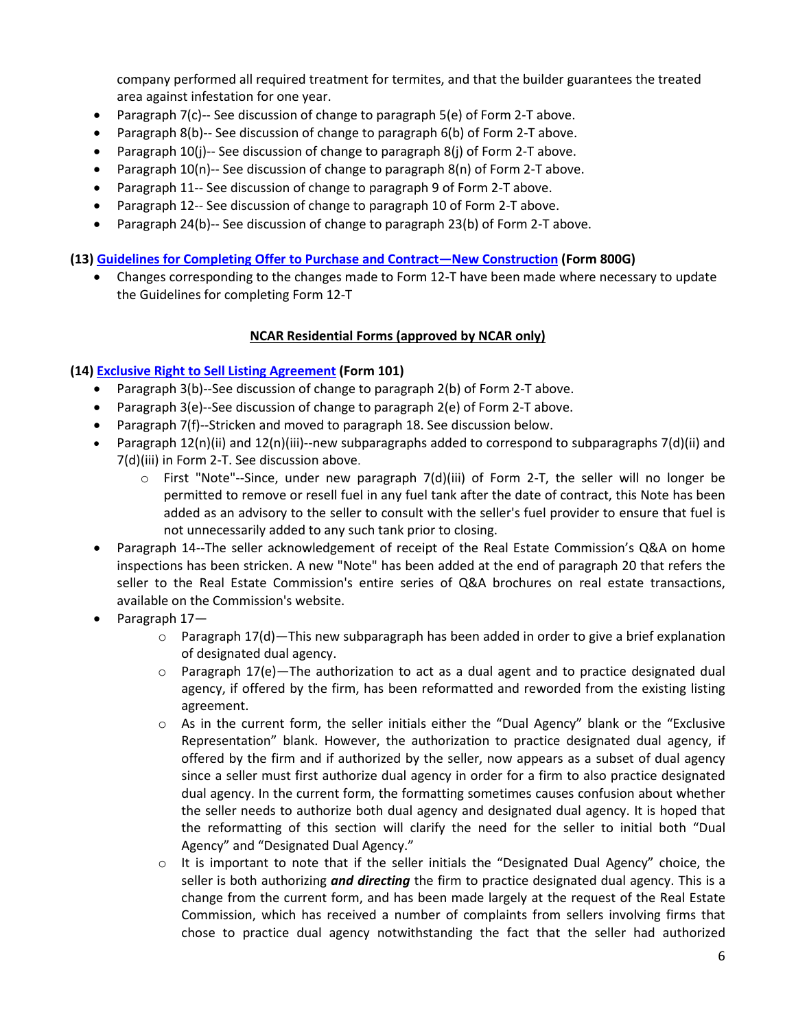company performed all required treatment for termites, and that the builder guarantees the treated area against infestation for one year.

- Paragraph 7(c)-- See discussion of change to paragraph 5(e) of Form 2-T above.
- Paragraph 8(b)-- See discussion of change to paragraph 6(b) of Form 2-T above.
- Paragraph 10(j)-- See discussion of change to paragraph 8(j) of Form 2-T above.
- Paragraph 10(n)-- See discussion of change to paragraph 8(n) of Form 2-T above.
- Paragraph 11-- See discussion of change to paragraph 9 of Form 2-T above.
- Paragraph 12-- See discussion of change to paragraph 10 of Form 2-T above.
- Paragraph 24(b)-- See discussion of change to paragraph 23(b) of Form 2-T above.

#### **(13[\) Guidelines for Completing Offer to Purchase and Contract—New Construction](https://www.ncrealtors.org/wp-content/uploads/markedup0722-800G.pdf) (Form 800G)**

• Changes corresponding to the changes made to Form 12-T have been made where necessary to update the Guidelines for completing Form 12-T

## **NCAR Residential Forms (approved by NCAR only)**

### **(14[\) Exclusive Right to Sell Listing Agreement](https://www.ncrealtors.org/wp-content/uploads/markedup0722-101.pdf) (Form 101)**

- Paragraph 3(b)--See discussion of change to paragraph 2(b) of Form 2-T above.
- Paragraph 3(e)--See discussion of change to paragraph 2(e) of Form 2-T above.
- Paragraph 7(f)--Stricken and moved to paragraph 18. See discussion below.
- Paragraph 12(n)(ii) and 12(n)(iii)--new subparagraphs added to correspond to subparagraphs 7(d)(ii) and 7(d)(iii) in Form 2-T. See discussion above.
	- $\circ$  First "Note"--Since, under new paragraph 7(d)(iii) of Form 2-T, the seller will no longer be permitted to remove or resell fuel in any fuel tank after the date of contract, this Note has been added as an advisory to the seller to consult with the seller's fuel provider to ensure that fuel is not unnecessarily added to any such tank prior to closing.
- Paragraph 14--The seller acknowledgement of receipt of the Real Estate Commission's Q&A on home inspections has been stricken. A new "Note" has been added at the end of paragraph 20 that refers the seller to the Real Estate Commission's entire series of Q&A brochures on real estate transactions, available on the Commission's website.
- Paragraph 17—
	- $\circ$  Paragraph 17(d)—This new subparagraph has been added in order to give a brief explanation of designated dual agency.
	- $\circ$  Paragraph 17(e)—The authorization to act as a dual agent and to practice designated dual agency, if offered by the firm, has been reformatted and reworded from the existing listing agreement.
	- $\circ$  As in the current form, the seller initials either the "Dual Agency" blank or the "Exclusive Representation" blank. However, the authorization to practice designated dual agency, if offered by the firm and if authorized by the seller, now appears as a subset of dual agency since a seller must first authorize dual agency in order for a firm to also practice designated dual agency. In the current form, the formatting sometimes causes confusion about whether the seller needs to authorize both dual agency and designated dual agency. It is hoped that the reformatting of this section will clarify the need for the seller to initial both "Dual Agency" and "Designated Dual Agency."
	- $\circ$  It is important to note that if the seller initials the "Designated Dual Agency" choice, the seller is both authorizing *and directing* the firm to practice designated dual agency. This is a change from the current form, and has been made largely at the request of the Real Estate Commission, which has received a number of complaints from sellers involving firms that chose to practice dual agency notwithstanding the fact that the seller had authorized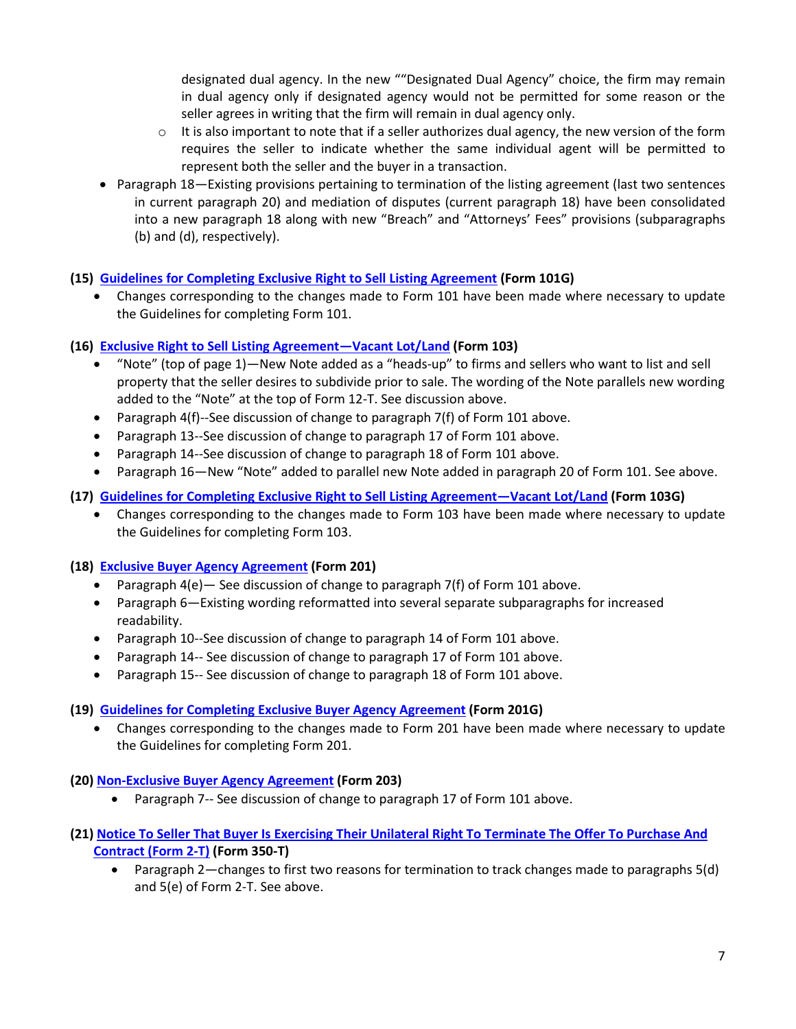designated dual agency. In the new ""Designated Dual Agency" choice, the firm may remain in dual agency only if designated agency would not be permitted for some reason or the seller agrees in writing that the firm will remain in dual agency only.

- $\circ$  It is also important to note that if a seller authorizes dual agency, the new version of the form requires the seller to indicate whether the same individual agent will be permitted to represent both the seller and the buyer in a transaction.
- Paragraph 18—Existing provisions pertaining to termination of the listing agreement (last two sentences in current paragraph 20) and mediation of disputes (current paragraph 18) have been consolidated into a new paragraph 18 along with new "Breach" and "Attorneys' Fees" provisions (subparagraphs (b) and (d), respectively).

## **(15) [Guidelines for Completing Exclusive Right to Sell Listing Agreement](https://www.ncrealtors.org/wp-content/uploads/markedup0722-101G.pdf) (Form 101G)**

• Changes corresponding to the changes made to Form 101 have been made where necessary to update the Guidelines for completing Form 101.

# **(16) [Exclusive Right to Sell Listing Agreement—Vacant Lot/Land](https://www.ncrealtors.org/wp-content/uploads/markedup0722-103.pdf) (Form 103)**

- "Note" (top of page 1)—New Note added as a "heads-up" to firms and sellers who want to list and sell property that the seller desires to subdivide prior to sale. The wording of the Note parallels new wording added to the "Note" at the top of Form 12-T. See discussion above.
- Paragraph 4(f)--See discussion of change to paragraph 7(f) of Form 101 above.
- Paragraph 13--See discussion of change to paragraph 17 of Form 101 above.
- Paragraph 14--See discussion of change to paragraph 18 of Form 101 above.
- Paragraph 16—New "Note" added to parallel new Note added in paragraph 20 of Form 101. See above.

## **(17) [Guidelines for Completing Exclusive Right to Sell Listing Agreement—Vacant Lot/Land](https://www.ncrealtors.org/wp-content/uploads/markedup0722-103G.pdf) (Form 103G)**

• Changes corresponding to the changes made to Form 103 have been made where necessary to update the Guidelines for completing Form 103.

### **(18) [Exclusive Buyer Agency Agreement](https://www.ncrealtors.org/wp-content/uploads/markedup0722-201.pdf) (Form 201)**

- Paragraph 4(e)— See discussion of change to paragraph 7(f) of Form 101 above.
- Paragraph 6—Existing wording reformatted into several separate subparagraphs for increased readability.
- Paragraph 10--See discussion of change to paragraph 14 of Form 101 above.
- Paragraph 14-- See discussion of change to paragraph 17 of Form 101 above.
- Paragraph 15-- See discussion of change to paragraph 18 of Form 101 above.

### **(19) [Guidelines for Completing Exclusive Buyer Agency Agreement](https://www.ncrealtors.org/wp-content/uploads/markedup0722-201G.pdf) (Form 201G)**

• Changes corresponding to the changes made to Form 201 have been made where necessary to update the Guidelines for completing Form 201.

### **(20[\) Non-Exclusive Buyer Agency Agreement](https://www.ncrealtors.org/wp-content/uploads/markedup0722-203.pdf) (Form 203)**

- Paragraph 7-- See discussion of change to paragraph 17 of Form 101 above.
- **(21[\) Notice To Seller That Buyer Is Exercising Their Unilateral Right To Terminate The Offer To Purchase And](https://www.ncrealtors.org/wp-content/uploads/markedup0722-350-T.pdf)  [Contract \(Form 2-T\)](https://www.ncrealtors.org/wp-content/uploads/markedup0722-350-T.pdf) (Form 350-T)**
	- Paragraph 2—changes to first two reasons for termination to track changes made to paragraphs 5(d) and 5(e) of Form 2-T. See above.